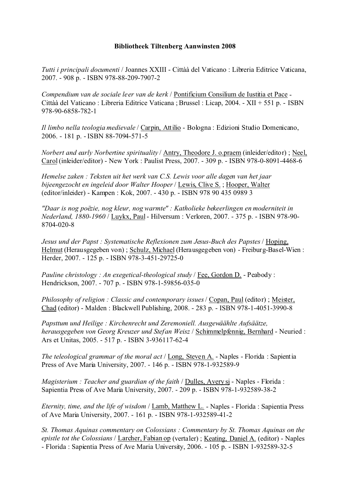*Tutti i principali documenti* / Joannes XXIII - Cittàà del Vaticano : Libreria Editrice Vaticana, 2007. - 908 p. - ISBN 978-88-209-7907-2

*Compendium van de sociale leer van de kerk* / Pontificium Consilium de Iustitia et Pace - Cittàà del Vaticano : Libreria Editrice Vaticana ; Brussel : Licap, 2004. - XII + 551 p. - ISBN 978-90-6858-782-1

*Il limbo nella teologia medievale* / Carpin, Attilio - Bologna : Edizioni Studio Domenicano, 2006. - 181 p. - ISBN 88-7094-571-5

*Norbert and early Norbertine spirituality* / Antry, Theodore J. o.praem (inleider/editor) ; Neel, Carol (inleider/editor) - New York : Paulist Press, 2007. - 309 p. - ISBN 978-0-8091-4468-6

*Hemelse zaken : Teksten uit het werk van C.S. Lewis voor alle dagen van het jaar bijeengezocht en ingeleid door Walter Hooper* / Lewis, Clive S. ; Hooper, Walter (editor/inleider) - Kampen : Kok, 2007. - 430 p. - ISBN 978 90 435 0989 3

*"Daar is nog poëzie, nog kleur, nog warmte" : Katholieke bekeerlingen en moderniteit in Nederland, 1880-1960* / Luykx, Paul - Hilversum : Verloren, 2007. - 375 p. - ISBN 978-90- 8704-020-8

*Jesus und der Papst : Systematische Reflexionen zum Jesus-Buch des Papstes* / Hoping, Helmut (Herausgegeben von) ; Schulz, Michael (Herausgegeben von) - Freiburg-Basel-Wien : Herder, 2007. - 125 p. - ISBN 978-3-451-29725-0

*Pauline christology : An exegetical-theological study* / Fee, Gordon D. - Peabody : Hendrickson, 2007. - 707 p. - ISBN 978-1-59856-035-0

*Philosophy of religion : Classic and contemporary issues* / Copan, Paul (editor) ; Meister, Chad (editor) - Malden : Blackwell Publishing, 2008. - 283 p. - ISBN 978-1-4051-3990-8

*Papsttum und Heilige : Kirchenrecht und Zeremoniell. Ausgewäählte Aufsäätze, herausgegeben von Georg Kreuzer und Stefan Weisz* / Schimmelpfennig, Bernhard - Neuried : Ars et Unitas, 2005. - 517 p. - ISBN 3-936117-62-4

*The teleological grammar of the moral act* / Long, Steven A. - Naples - Florida : Sapientia Press of Ave Maria University, 2007. - 146 p. - ISBN 978-1-932589-9

*Magisterium : Teacher and guardian of the faith* / Dulles, Avery sj - Naples - Florida : Sapientia Press of Ave Maria University, 2007. - 209 p. - ISBN 978-1-932589-38-2

*Eternity, time, and the life of wisdom* / Lamb, Matthew L. - Naples - Florida : Sapientia Press of Ave Maria University, 2007. - 161 p. - ISBN 978-1-932589-41-2

*St. Thomas Aquinas commentary on Colossians : Commentary by St. Thomas Aquinas on the epistle tot the Colossians* / Larcher, Fabian op (vertaler) ; Keating, Daniel A. (editor) - Naples - Florida : Sapientia Press of Ave Maria University, 2006. - 105 p. - ISBN 1-932589-32-5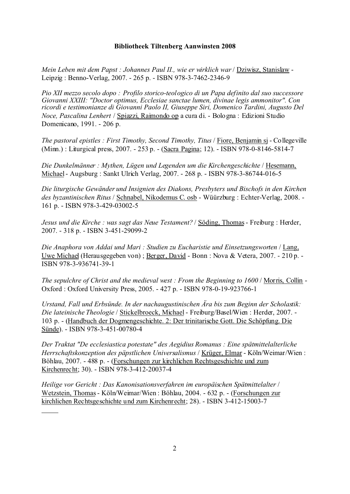*Mein Leben mit dem Papst : Johannes Paul II., wie er wirklich war* / Dziwisz, Stanislaw - Leipzig : Benno-Verlag, 2007. - 265 p. - ISBN 978-3-7462-2346-9

*Pio XII mezzo secolo dopo : Profilo storico-teologico di un Papa definito dal suo successore Giovanni XXIII: "Doctor optimus, Ecclesiae sanctae lumen, divinae legis ammonitor". Con ricordi e testimonianze di Giovanni Paolo II, Giuseppe Siri, Domenico Tardini, Augusto Del Noce, Pascalina Lenhert* / Spiazzi, Raimondo op a cura di. - Bologna : Edizioni Studio Domenicano, 1991. - 206 p.

*The pastoral epistles : First Timothy, Second Timothy, Titus* / Fiore, Benjamin sj - Collegeville (Minn.) : Liturgical press, 2007. - 253 p. - (Sacra Pagina; 12). - ISBN 978-0-8146-5814-7

*Die Dunkelmänner : Mythen, Lügen und Legenden um die Kirchengeschichte* / Hesemann, Michael - Augsburg : Sankt Ulrich Verlag, 2007. - 268 p. - ISBN 978-3-86744-016-5

*Die liturgische Gewänder und Insignien des Diakons, Presbyters und Bischofs in den Kirchen des byzantinischen Ritus* / Schnabel, Nikodemus C. osb - Wüürzburg : Echter-Verlag, 2008. - 161 p. - ISBN 978-3-429-03002-5

*Jesus und die Kirche : was sagt das Neue Testament?* / Söding, Thomas - Freiburg : Herder, 2007. - 318 p. - ISBN 3-451-29099-2

*Die Anaphora von Addai und Mari : Studien zu Eucharistie und Einsetzungsworten* / Lang, Uwe Michael (Herausgegeben von) ; Berger, David - Bonn : Nova & Vetera, 2007. - 210 p. - ISBN 978-3-936741-39-1

*The sepulchre of Christ and the medieval west : From the Beginning to 1600* / Morris, Collin - Oxford : Oxford University Press, 2005. - 427 p. - ISBN 978-0-19-923766-1

*Urstand, Fall und Erbsünde. In der nachaugustinischen Ära bis zum Beginn der Scholastik: Die lateinische Theologie* / Stickelbroeck, Michael - Freiburg/Basel/Wien : Herder, 2007. - 103 p. - (Handbuch der Dogmengeschichte. 2: Der trinitarische Gott. Die Schöpfung. Die Sünde). - ISBN 978-3-451-00780-4

*Der Traktat "De ecclesiastica potestate" des Aegidius Romanus : Eine spätmittelalterliche Herrschaftskonzeption des päpstlichen Universalismus* / Krüger, Elmar - Köln/Weimar/Wien : Böhlau, 2007. - 488 p. - (Forschungen zur kirchlichen Rechtsgeschichte und zum Kirchenrecht; 30). - ISBN 978-3-412-20037-4

*Heilige vor Gericht : Das Kanonisationsverfahren im europäischen Spätmittelalter* / Wetzstein, Thomas - Köln/Weimar/Wien : Böhlau, 2004. - 632 p. - (Forschungen zur kirchlichen Rechtsgeschichte und zum Kirchenrecht; 28). - ISBN 3-412-15003-7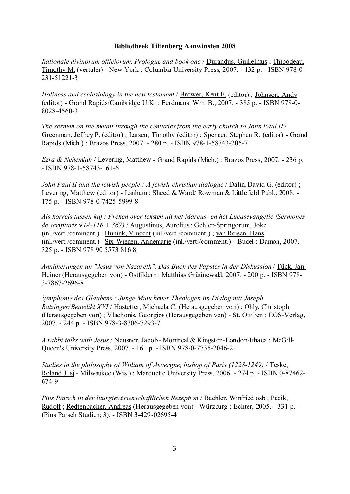*Rationale divinorum officiorum. Prologue and book one* / Durandus, Guillelmus ; Thibodeau, Timothy M. (vertaler) - New York : Columbia University Press, 2007. - 132 p. - ISBN 978-0- 231-51221-3

*Holiness and ecclesiology in the new testament* / Brower, Kent E. (editor) ; Johnson, Andy (editor) - Grand Rapids/Cambridge U.K. : Eerdmans, Wm. B., 2007. - 385 p. - ISBN 978-0- 8028-4560-3

*The sermon on the mount through the centuries from the early church to John Paul II* / Greenman, Jeffrey P. (editor) ; Larsen, Timothy (editor) ; Spencer, Stephen R. (editor) - Grand Rapids (Mich.) : Brazos Press, 2007. - 280 p. - ISBN 978-1-58743-205-7

*Ezra & Nehemiah* / Levering, Matthew - Grand Rapids (Mich.) : Brazos Press, 2007. - 236 p. - ISBN 978-1-58743-161-6

*John Paul II and the jewish people : A jewish-christian dialogue* / Dalin, David G. (editor) ; Levering, Matthew (editor) - Lanham : Sheed & Ward/ Rowman & Littlefield Publ., 2008. - 175 p. - ISBN 978-0-7425-5999-8

*Als korrels tussen kaf : Preken over teksten uit het Marcus- en het Lucasevangelie (Sermones de scripturis 94A-116 + 367)* / Augustinus, Aurelius ; Gehlen-Springorum, Joke (inl./vert./comment.) ; Hunink, Vincent (inl./vert./comment.) ; van Reisen, Hans (inl./vert./comment.) ; Six-Wienen, Annemarie (inl./vert./comment.) - Budel : Damon, 2007. - 325 p. - ISBN 978 90 5573 816 8

*Annäherungen an "Jesus von Nazareth". Das Buch des Papstes in der Diskussion* / Tück, Jan-Heiner (Herausgegeben von) - Ostfildern : Matthias Grüünewald, 2007. - 200 p. - ISBN 978- 3-7867-2696-8

*Symphonie des Glaubens : Junge Münchener Theologen im Dialog mit Joseph Ratzinger/Benedikt XVI* / Hastetter, Michaela C. (Herausgegeben von) ; Ohly, Christoph (Herausgegeben von) ; Vlachonis, Georgios (Herausgegeben von) - St. Ottilien : EOS-Verlag, 2007. - 244 p. - ISBN 978-3-8306-7293-7

*A rabbi talks with Jesus* / Neusner, Jacob - Montreal & Kingston-London-Ithaca : McGill-Queen's University Press, 2007. - 161 p. - ISBN 978-0-7735-2046-2

*Studies in the philosophy of William of Auvergne, bishop of Paris (1228-1249)* / Teske, Roland J. sj - Milwaukee (Wis.) : Marquette University Press, 2006. - 274 p. - ISBN 0-87462- 674-9

*Pius Parsch in der liturgiewissenschaftlichen Rezeption* / Bachler, Winfried osb ; Pacik, Rudolf ; Redtenbacher, Andreas (Herausgegeben von) - Würzburg : Echter, 2005. - 331 p. - (Pius Parsch Studien; 3). - ISBN 3-429-02695-4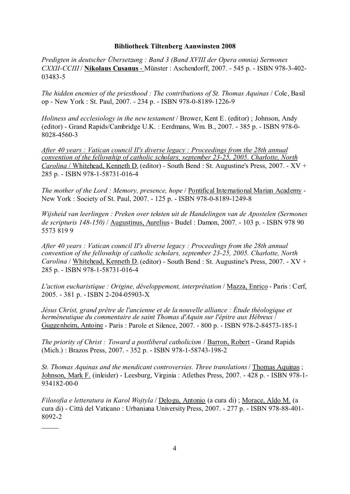*Predigten in deutscher Übersetzung : Band 3 (Band XVIII der Opera omnia) Sermones CXXII-CCIII* / **Nikolaus Cusanus** - Münster : Aschendorff, 2007. - 545 p. - ISBN 978-3-402- 03483-5

*The hidden enemies of the priesthood : The contributions of St. Thomas Aquinas* / Cole, Basil op - New York : St. Paul, 2007. - 234 p. - ISBN 978-0-8189-1226-9

*Holiness and ecclesiology in the new testament* / Brower, Kent E. (editor) ; Johnson, Andy (editor) - Grand Rapids/Cambridge U.K. : Eerdmans, Wm. B., 2007. - 385 p. - ISBN 978-0- 8028-4560-3

*After 40 years : Vatican council II's diverse legacy : Proceedings from the 28th annual convention of the fellowship of catholic scholars, september 23-25, 2005. Charlotte, North Carolina* / Whitehead, Kenneth D. (editor) - South Bend : St. Augustine's Press, 2007. - XV + 285 p. - ISBN 978-1-58731-016-4

*The mother of the Lord : Memory, presence, hope* / Pontifical International Marian Academy - New York : Society of St. Paul, 2007. - 125 p. - ISBN 978-0-8189-1249-8

*Wijsheid van leerlingen : Preken over teksten uit de Handelingen van de Apostelen (Sermones de scripturis 148-150)* / Augustinus, Aurelius - Budel : Damon, 2007. - 103 p. - ISBN 978 90 5573 819 9

*After 40 years : Vatican council II's diverse legacy : Proceedings from the 28th annual convention of the fellowship of catholic scholars, september 23-25, 2005. Charlotte, North Carolina* / Whitehead, Kenneth D. (editor) - South Bend : St. Augustine's Press, 2007. - XV + 285 p. - ISBN 978-1-58731-016-4

*L'action eucharistique : Origine, développement, interprétation* / Mazza, Enrico - Paris : Cerf, 2005. - 381 p. - ISBN 2-204-05903-X

*Jésus Christ, grand prêtre de l'ancienne et de la nouvelle alliance : Étude théologique et herméneutique du commentaire de saint Thomas d'Aquin sur l'épitre aux Hébreux* / Guggenheim, Antoine - Paris : Parole et Silence, 2007. - 800 p. - ISBN 978-2-84573-185-1

*The priority of Christ : Toward a postliberal catholicism* / Barron, Robert - Grand Rapids (Mich.) : Brazos Press, 2007. - 352 p. - ISBN 978-1-58743-198-2

*St. Thomas Aquinas and the mendicant controversies. Three translations* / Thomas Aquinas ; Johnson, Mark F. (inleider) - Leesburg, Virginia : Atlethes Press, 2007. - 428 p. - ISBN 978-1- 934182-00-0

*Filosofia e letteratura in Karol Wojtyla* / Delogu, Antonio (a cura di) ; Morace, Aldo M. (a cura di) - Città del Vaticano : Urbaniana University Press, 2007. - 277 p. - ISBN 978-88-401- 8092-2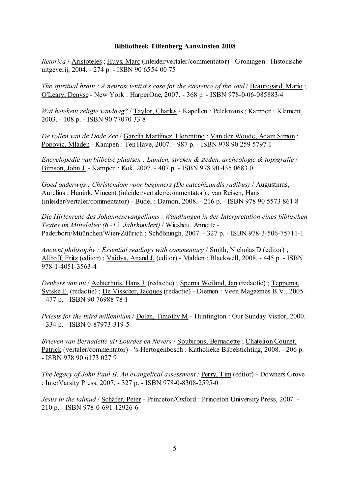*Retorica* / Aristoteles ; Huys, Marc (inleider/vertaler/commentator) - Groningen : Historische uitgeverij, 2004. - 274 p. - ISBN 90 6554 00 75

*The spiritual brain : A neuroscientist's case for the existence of the soul* / Beauregard, Mario ; O'Leary, Denyse - New York : HarperOne, 2007. - 368 p. - ISBN 978-0-06-085883-4

*Wat betekent religie vandaag?* / Taylor, Charles - Kapellen : Pelckmans ; Kampen : Klement, 2003. - 108 p. - ISBN 90 77070 33 8

*De rollen van de Dode Zee* / Garcíía Martíínez, Florentino ; Van der Woude, Adam Simon ; Popovic, Mladen - Kampen : Ten Have, 2007. - 987 p. - ISBN 978 90 259 5797 1

*Encyclopedie van bijbelse plaatsen : Landen, streken & steden, archeologie & topografie* / Bimson, John J. - Kampen : Kok, 2007. - 407 p. - ISBN 978 90 435 0683 0

*Goed onderwijs : Christendom voor beginners (De catechizandis rudibus)* / Augustinus, Aurelius ; Hunink, Vincent (inleider/vertaler/commentator) ; van Reisen, Hans (inleider/vertaler/commentator) - Budel : Damon, 2008. - 216 p. - ISBN 978 90 5573 861 8

*Die Hirtenrede des Johannesevangeliums : Wandlungen in der Interpretation eines biblischen Textes im Mittelalter (6.-12. Jahrhundert)* / Wiesheu, Annette - Paderborn/Müünchen/Wien/Züürich : Schööningh, 2007. - 327 p. - ISBN 978-3-506-75711-1

*Ancient philosophy : Essential readings with commentary* / Smith, Nicholas D (editor) ; Allhoff, Fritz (editor) ; Vaidya, Anand J. (editor) - Malden : Blackwell, 2008. - 445 p. - ISBN 978-1-4051-3563-4

*Denkers van nu* / Achterhuis, Hans J. (redactie) ; Sperna Weiland, Jan (redactie) ; Teppema, Sytske E. (redactie) ; De Visscher, Jacques (redactie) - Diemen : Veen Magazines B.V., 2005. - 477 p. - ISBN 90 76988 78 1

*Priests for the third millennium* / Dolan, Timothy M - Huntington : Our Sunday Visitor, 2000. - 334 p. - ISBN 0-87973-319-5

*Brieven van Bernadette uit Lourdes en Nevers* / Soubirous, Bernadette ; Chatelion Counet, Patrick (vertaler/commentator) - 's-Hertogenbosch : Katholieke Bijbelstichting, 2008. - 206 p. - ISBN 978 90 6173 027 9

*The legacy of John Paul II. An evangelical assessment* / Perry, Tim (editor) - Downers Grove : InterVarsity Press, 2007. - 327 p. - ISBN 978-0-8308-2595-0

*Jesus in the talmud* / Schäfer, Peter - Princeton/Oxford : Princeton University Press, 2007. - 210 p. - ISBN 978-0-691-12926-6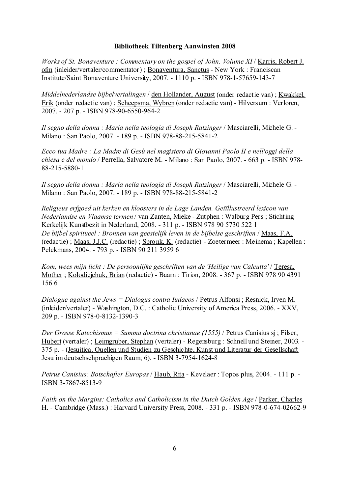*Works of St. Bonaventure : Commentary on the gospel of John. Volume XI* / Karris, Robert J. ofm (inleider/vertaler/commentator) ; Bonaventura, Sanctus - New York : Franciscan Institute/Saint Bonaventure University, 2007. - 1110 p. - ISBN 978-1-57659-143-7

*Middelnederlandse bijbelvertalingen* / den Hollander, August (onder redactie van) ; Kwakkel, Erik (onder redactie van) ; Scheepsma, Wybren (onder redactie van) - Hilversum : Verloren, 2007. - 207 p. - ISBN 978-90-6550-964-2

*Il segno della donna : Maria nella teologia di Joseph Ratzinger* / Masciarelli, Michele G. - Milano : San Paolo, 2007. - 189 p. - ISBN 978-88-215-5841-2

*Ecco tua Madre : La Madre di Gesù nel magistero di Giovanni Paolo II e nell'oggi della chiesa e del mondo* / Perrella, Salvatore M. - Milano : San Paolo, 2007. - 663 p. - ISBN 978- 88-215-5880-1

*Il segno della donna : Maria nella teologia di Joseph Ratzinger* / Masciarelli, Michele G. - Milano : San Paolo, 2007. - 189 p. - ISBN 978-88-215-5841-2

*Religieus erfgoed uit kerken en kloosters in de Lage Landen. Geïïllustreerd lexicon van Nederlandse en Vlaamse termen* / van Zanten, Mieke - Zutphen : Walburg Pers ; Stichting Kerkelijk Kunstbezit in Nederland, 2008. - 311 p. - ISBN 978 90 5730 522 1 *De bijbel spiritueel : Bronnen van geestelijk leven in de bijbelse geschriften* / Maas, F.A. (redactie) ; Maas, J.J.C. (redactie) ; Spronk, K. (redactie) - Zoetermeer : Meinema ; Kapellen : Pelckmans, 2004. - 793 p. - ISBN 90 211 3959 6

*Kom, wees mijn licht : De persoonlijke geschriften van de 'Heilige van Calcutta'* / Teresa, Mother ; Kolodiejchuk, Brian (redactie) - Baarn : Tirion, 2008. - 367 p. - ISBN 978 90 4391 156 6

*Dialogue against the Jews = Dialogus contra Iudaeos* / Petrus Alfonsi ; Resnick, Irven M. (inleider/vertaler) - Washington, D.C. : Catholic University of America Press, 2006. - XXV, 209 p. - ISBN 978-0-8132-1390-3

*Der Grosse Katechismus = Summa doctrina christianae (1555)* / Petrus Canisius sj ; Filser, Hubert (vertaler) ; Leimgruber, Stephan (vertaler) - Regensburg : Schnell und Steiner, 2003. - 375 p. - (Jesuitica. Quellen und Studien zu Geschichte, Kunst und Literatur der Gesellschaft Jesu im deutschschprachigen Raum; 6). - ISBN 3-7954-1624-8

*Petrus Canisius: Botschafter Europas* / Haub, Rita - Kevelaer : Topos plus, 2004. - 111 p. - ISBN 3-7867-8513-9

*Faith on the Margins: Catholics and Catholicism in the Dutch Golden Age* / Parker, Charles H. - Cambridge (Mass.) : Harvard University Press, 2008. - 331 p. - ISBN 978-0-674-02662-9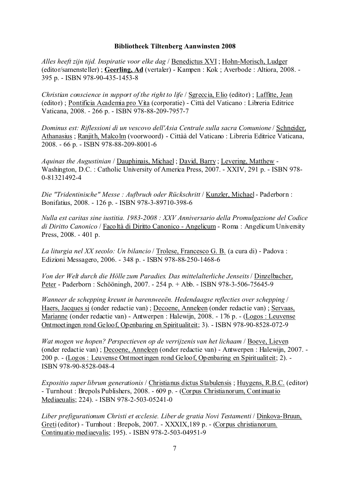*Alles heeft zijn tijd. Inspiratie voor elke dag* / Benedictus XVI ; Hohn-Morisch, Ludger (editor/samensteller) ; **Geerling, Ad** (vertaler) - Kampen : Kok ; Averbode : Altiora, 2008. - 395 p. - ISBN 978-90-435-1453-8

*Christian conscience in support of the right to life* / Sgreccia, Elio (editor) ; Laffitte, Jean (editor) ; Pontificia Academia pro Vita (corporatie) - Città del Vaticano : Libreria Editrice Vaticana, 2008. - 266 p. - ISBN 978-88-209-7957-7

*Dominus est: Riflessioni di un vescovo dell'Asia Centrale sulla sacra Comunione* / Schneider, Athanasius ; Ranjith, Malcolm (voorwoord) - Cittàà del Vaticano : Libreria Editrice Vaticana, 2008. - 66 p. - ISBN 978-88-209-8001-6

*Aquinas the Augustinian* / Dauphinais, Michael ; David, Barry ; Levering, Matthew - Washington, D.C. : Catholic University of America Press, 2007. - XXIV, 291 p. - ISBN 978- 0-81321492-4

*Die "Tridentinische" Messe : Aufbruch oder Rückschritt* / Kunzler, Michael - Paderborn : Bonifatius, 2008. - 126 p. - ISBN 978-3-89710-398-6

*Nulla est caritas sine iustitia. 1983-2008 : XXV Anniversario della Promulgazione del Codice di Diritto Canonico* / Facoltà di Diritto Canonico - Angelicum - Roma : Angelicum University Press, 2008. - 401 p.

*La liturgia nel XX secolo: Un bilancio* / Trolese, Francesco G. B. (a cura di) - Padova : Edizioni Messagero, 2006. - 348 p. - ISBN 978-88-250-1468-6

*Von der Welt durch die Hölle zum Paradies. Das mittelalterliche Jenseits* / Dinzelbacher, Peter - Paderborn : Schööningh, 2007. - 254 p. + Abb. - ISBN 978-3-506-75645-9

*Wanneer de schepping kreunt in barensweeën. Hedendaagse reflecties over schepping* / Haers, Jacques sj (onder redactie van) ; Decoene, Anneleen (onder redactie van) ; Servaas, Marianne (onder redactie van) - Antwerpen : Halewijn, 2008. - 176 p. - (Logos : Leuvense Ontmoetingen rond Geloof, Openbaring en Spiritualiteit; 3). - ISBN 978-90-8528-072-9

*Wat mogen we hopen? Perspectieven op de verrijzenis van het lichaam* / Boeve, Lieven (onder redactie van) ; Decoene, Anneleen (onder redactie van) - Antwerpen : Halewijn, 2007. - 200 p. - (Logos : Leuvense Ontmoetingen rond Geloof, Openbaring en Spiritualiteit; 2). - ISBN 978-90-8528-048-4

*Expositio super librum generationis* / Christianus dictus Stabulensis ; Huygens, R.B.C. (editor) - Turnhout : Brepols Publishers, 2008. - 609 p. - (Corpus Christianorum, Continuatio Mediaeualis; 224). - ISBN 978-2-503-05241-0

*Liber prefigurationum Christi et ecclesie. Liber de gratia Novi Testamenti* / Dinkova-Bruun, Greti (editor) - Turnhout : Brepols, 2007. - XXXIX,189 p. - (Corpus christianorum. Continuatio mediaevalis; 195). - ISBN 978-2-503-04951-9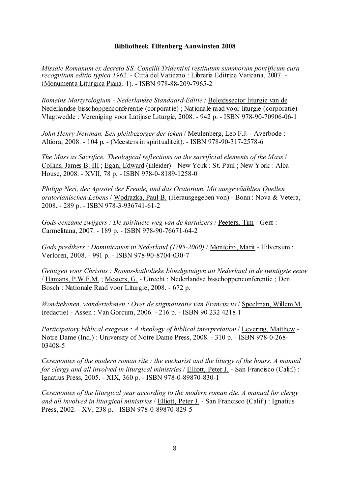*Missale Romanum ex decreto SS. Concilii Tridentini restitutum summorum pontificum cura recognitum editio typica 1962.* - Città del Vaticano : Libreria Editrice Vaticana, 2007. - (Monumenta Liturgica Piana; 1). - ISBN 978-88-209-7965-2

*Romeins Martyrologium - Nederlandse Standaard-Editie* / Beleidssector liturgie van de Nederlandse bisschoppenconferentie (corporatie) ; Nationale raad voor liturgie (corporatie) - Vlagtwedde : Vereniging voor Latijnse Liturgie, 2008. - 942 p. - ISBN 978-90-70906-06-1

*John Henry Newman. Een pleitbezorger der leken* / Meulenberg, Leo F.J. - Averbode : Altiora, 2008. - 104 p. - (Meesters in spiritualiteit). - ISBN 978-90-317-2578-6

*The Mass as Sacrifice. Theological reflections on the sacrificial elements of the Mass* / Collins, James B. III ; Egan, Edward (inleider) - New York : St. Paul ; New York : Alba House, 2008. - XVII, 78 p. - ISBN 978-0-8189-1258-0

*Philipp Neri, der Apostel der Freude, und das Oratorium. Mit ausgewäählten Quellen oratorianischen Lebens* / Wodrazka, Paul B. (Herausgegeben von) - Bonn : Nova & Vetera, 2008. - 289 p. - ISBN 978-3-936741-61-2

*Gods eenzame zwijgers : De spirituele weg van de kartuizers* / Peeters, Tim - Gent : Carmelitana, 2007. - 189 p. - ISBN 978-90-76671-64-2

*Gods predikers : Dominicanen in Nederland (1795-2000)* / Monteiro, Marit - Hilversum : Verloren, 2008. - 991 p. - ISBN 978-90-8704-030-7

*Getuigen voor Christus : Rooms-katholieke bloedgetuigen uit Nederland in de twintigste eeuw* / Hamans, P.W.F.M. ; Mesters, G. - Utrecht : Nederlandse bisschoppenconferentie ; Den Bosch : Nationale Raad voor Liturgie, 2008. - 672 p.

*Wondtekenen, wondertekenen : Over de stigmatisatie van Franciscus* / Speelman, Willem M. (redactie) - Assen : Van Gorcum, 2006. - 216 p. - ISBN 90 232 4218 1

*Participatory biblical exegesis : A theology of biblical interpretation* / Levering, Matthew - Notre Dame (Ind.) : University of Notre Dame Press, 2008. - 310 p. - ISBN 978-0-268- 03408-5

*Ceremonies of the modern roman rite : the eucharist and the liturgy of the hours. A manual for clergy and all involved in liturgical ministries* / Elliott, Peter J. - San Francisco (Calif.) : Ignatius Press, 2005. - XIX, 360 p. - ISBN 978-0-89870-830-1

*Ceremonies of the liturgical year according to the modern roman rite. A manual for clergy and all involved in liturgical ministries* / Elliott, Peter J. - San Francisco (Calif.) : Ignatius Press, 2002. - XV, 238 p. - ISBN 978-0-89870-829-5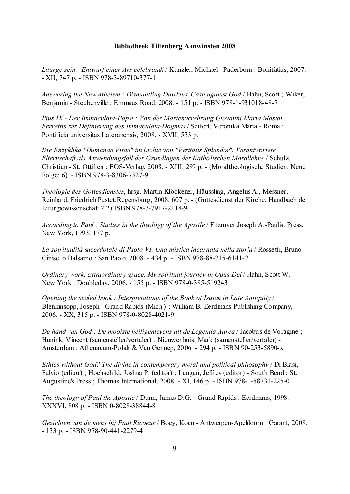*Liturge sein : Entwurf einer Ars celebrandi* / Kunzler, Michael - Paderborn : Bonifatius, 2007. - XII, 747 p. - ISBN 978-3-89710-377-1

*Answering the New Atheism : Dismantling Dawkins' Case against God* / Hahn, Scott ; Wiker, Benjamin - Steubenville : Emmaus Road, 2008. - 151 p. - ISBN 978-1-931018-48-7

*Pius IX - Der Immaculata-Papst : Von der Marienverehrung Giovanni Maria Mastai Ferrettis zur Definierung des Immaculata-Dogmas* / Seifert, Veronika Maria - Roma : Pontificia universitas Lateranensis, 2008. - XVII, 533 p.

*Die Enzyklika "Humanae Vitae" im Lichte von "Veritatis Splendor". Verantwortete Elternschaft als Anwendungsfall der Grundlagen der Katholischen Morallehre* / Schulz, Christian - St. Ottilien : EOS-Verlag, 2008. - XIII, 289 p. - (Moraltheologische Studien. Neue Folge; 6). - ISBN 978-3-8306-7327-9

*Theologie des Gottesdienstes*, hrsg. Martin Klöckener, Häussling, Angelus A., Messner, Reinhard, Friedrich Pustet:Regensburg, 2008, 607 p. - (Gottesdienst der Kirche. Handbuch der Liturgiewissenschaft 2.2) ISBN 978-3-7917-2114-9

*According to Paul : Studies in the theology of the Apostle* / Fitzmyer Joseph A.-Paulist Press, New York, 1993, 177 p.

*La spiritualità sacerdotale di Paolo VI. Una mistica incarnata nella storia* / Rossetti, Bruno - Cinisello Balsamo : San Paolo, 2008. - 434 p. - ISBN 978-88-215-6141-2

*Ordinary work, extraordinary grace. My spiritual journey in Opus Dei* / Hahn, Scott W. - New York : Doubleday, 2006. - 155 p. - ISBN 978-0-385-519243

*Opening the sealed book : Interpretations of the Book of Isaiah in Late Antiquity* / Blenkinsopp, Joseph - Grand Rapids (Mich.) : William B. Eerdmans Publishing Company, 2006. - XX, 315 p. - ISBN 978-0-8028-4021-9

*De hand van God : De mooiste heiligenlevens uit de Legenda Aurea* / Jacobus de Voragine ; Hunink, Vincent (samensteller/vertaler) ; Nieuwenhuis, Mark (samensteller/vertaler) - Amsterdam : Athenaeum-Polak & Van Gennep, 2006. - 294 p. - ISBN 90-253-5890-x

*Ethics without God? The divine in contemporary moral and political philosophy* / Di Blasi, Fulvio (editor) ; Hochschild, Joshua P. (editor) ; Langan, Jeffrey (editor) - South Bend : St. Augustine's Press ; Thomas International, 2008. - XI, 146 p. - ISBN 978-1-58731-225-0

*The theology of Paul the Apostle* / Dunn, James D.G. - Grand Rapids : Eerdmans, 1998. - XXXVI, 808 p. - ISBN 0-8028-38844-8

*Gezichten van de mens bij Paul Ricoeur* / Boey, Koen - Antwerpen-Apeldoorn : Garant, 2008. - 133 p. - ISBN 978-90-441-2279-4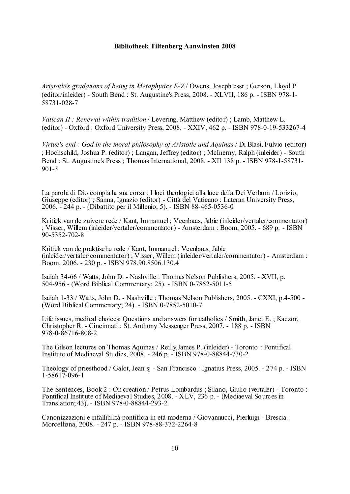*Aristotle's gradations of being in Metaphysics E-Z* / Owens, Joseph cssr ; Gerson, Lloyd P. (editor/inleider) - South Bend : St. Augustine's Press, 2008. - XLVII, 186 p. - ISBN 978-1- 58731-028-7

*Vatican II : Renewal within tradition* / Levering, Matthew (editor) ; Lamb, Matthew L. (editor) - Oxford : Oxford University Press, 2008. - XXIV, 462 p. - ISBN 978-0-19-533267-4

*Virtue's end : God in the moral philosophy of Aristotle and Aquinas* / Di Blasi, Fulvio (editor) ; Hochschild, Joshua P. (editor) ; Langan, Jeffrey (editor) ; McInerny, Ralph (inleider) - South Bend : St. Augustine's Press ; Thomas International, 2008. - XII 138 p. - ISBN 978-1-58731- 901-3

La parola di Dio compia la sua corsa : I loci theologici alla luce della Dei Verbum / Lorizio, Giuseppe (editor) ; Sanna, Ignazio (editor) - Città del Vaticano : Lateran University Press, 2006. - 244 p. - (Dibattito per il Millenio; 5). - ISBN 88-465-0536-0

Kritiek van de zuivere rede / Kant, Immanuel ; Veenbaas, Jabic (inleider/vertaler/commentator) ; Visser, Willem (inleider/vertaler/commentator) - Amsterdam : Boom, 2005. - 689 p. - ISBN 90-5352-702-8

Kritiek van de praktische rede / Kant, Immanuel ; Veenbaas, Jabic (inleider/vertaler/commentator) ; Visser, Willem (inleider/vertaler/commentator) - Amsterdam : Boom, 2006. - 230 p. - ISBN 978.90.8506.130.4

Isaiah 34-66 / Watts, John D. - Nashville : Thomas Nelson Publishers, 2005. - XVII, p. 504-956 - (Word Biblical Commentary; 25). - ISBN 0-7852-5011-5

Isaiah 1-33 / Watts, John D. - Nashville : Thomas Nelson Publishers, 2005. - CXXI, p.4-500 - (Word Biblical Commentary; 24). - ISBN 0-7852-5010-7

Life issues, medical choices: Questions and answers for catholics / Smith, Janet E. ; Kaczor, Christopher R. - Cincinnati : St. Anthony Messenger Press, 2007. - 188 p. - ISBN 978-0-86716-808-2

The Gilson lectures on Thomas Aquinas / Reilly,James P. (inleider) - Toronto : Pontifical Institute of Mediaeval Studies, 2008. - 246 p. - ISBN 978-0-88844-730-2

Theology of priesthood / Galot, Jean sj - San Francisco : Ignatius Press, 2005. - 274 p. - ISBN 1-58617-096-1

The Sentences, Book 2 : On creation / Petrus Lombardus ; Silano, Giulio (vertaler) - Toronto : Pontifical Institute of Mediaeval Studies, 2008. - XLV, 236 p. - (Mediaeval Sources in Translation; 43). - ISBN 978-0-88844-293-2

Canonizzazioni e infallibilità pontificia in età moderna / Giovannucci, Pierluigi - Brescia : Morcelliana, 2008. - 247 p. - ISBN 978-88-372-2264-8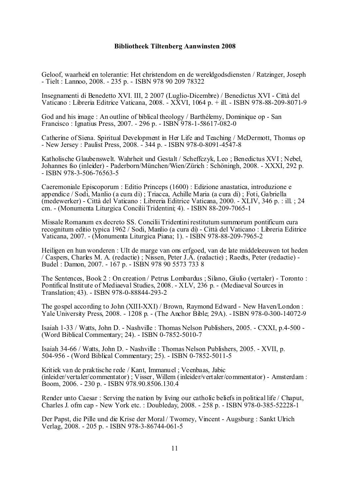Geloof, waarheid en tolerantie: Het christendom en de wereldgodsdiensten / Ratzinger, Joseph - Tielt : Lannoo, 2008. - 235 p. - ISBN 978 90 209 78322

Insegnamenti di Benedetto XVI. III, 2 2007 (Luglio-Dicembre) / Benedictus XVI - Città del Vaticano : Libreria Editrice Vaticana, 2008. - XXVI, 1064 p. + ill. - ISBN 978-88-209-8071-9

God and his image : An outline of biblical theology / Barthélemy, Dominique op - San Francisco : Ignatius Press, 2007. - 296 p. - ISBN 978-1-58617-082-0

Catherine of Siena. Spiritual Development in Her Life and Teaching / McDermott, Thomas op - New Jersey : Paulist Press, 2008. - 344 p. - ISBN 978-0-8091-4547-8

Katholische Glaubenswelt. Wahrheit und Gestalt / Scheffczyk, Leo ; Benedictus XVI ; Nebel, Johannes fso (inleider) - Paderborn/München/Wien/Zürich : Schöningh, 2008. - XXXI, 292 p. - ISBN 978-3-506-76563-5

Caeremoniale Episcoporum : Editio Princeps (1600) : Edizione anastatica, introduzione e appendice / Sodi, Manlio (a cura di) ; Triacca, Achille Maria (a cura di) ; Foti, Gabriella (medewerker) - Città del Vaticano : Libreria Editrice Vaticana, 2000. - XLIV, 346 p. : ill. ; 24 cm. - (Monumenta Liturgica Concilii Tridentini; 4). - ISBN 88-209-7065-1

Missale Romanum ex decreto SS. Concilii Tridentini restitutum summorum pontificum cura recognitum editio typica 1962 / Sodi, Manlio (a cura di) - Città del Vaticano : Libreria Editrice Vaticana, 2007. - (Monumenta Liturgica Piana; 1). - ISBN 978-88-209-7965-2

Heiligen en hun wonderen : UIt de marge van ons erfgoed, van de late middeleeuwen tot heden / Caspers, Charles M. A. (redactie) ; Nissen, Peter J.A. (redactie) ; Raedts, Peter (redactie) - Budel : Damon, 2007. - 167 p. - ISBN 978 90 5573 733 8

The Sentences, Book 2 : On creation / Petrus Lombardus ; Silano, Giulio (vertaler) - Toronto : Pontifical Institute of Mediaeval Studies, 2008. - XLV, 236 p. - (Mediaeval Sources in Translation; 43). - ISBN 978-0-88844-293-2

The gospel according to John (XIII-XXI) / Brown, Raymond Edward - New Haven/London : Yale University Press, 2008. - 1208 p. - (The Anchor Bible; 29A). - ISBN 978-0-300-14072-9

Isaiah 1-33 / Watts, John D. - Nashville : Thomas Nelson Publishers, 2005. - CXXI, p.4-500 - (Word Biblical Commentary; 24). - ISBN 0-7852-5010-7

Isaiah 34-66 / Watts, John D. - Nashville : Thomas Nelson Publishers, 2005. - XVII, p. 504-956 - (Word Biblical Commentary; 25). - ISBN 0-7852-5011-5

Kritiek van de praktische rede / Kant, Immanuel ; Veenbaas, Jabic (inleider/vertaler/commentator) ; Visser, Willem (inleider/vertaler/commentator) - Amsterdam : Boom, 2006. - 230 p. - ISBN 978.90.8506.130.4

Render unto Caesar : Serving the nation by living our catholic beliefs in political life / Chaput, Charles J. ofm cap - New York etc. : Doubleday, 2008. - 258 p. - ISBN 978-0-385-52228-1

Der Papst, die Pille und die Krise der Moral / Twomey, Vincent - Augsburg : Sankt Ulrich Verlag, 2008. - 205 p. - ISBN 978-3-86744-061-5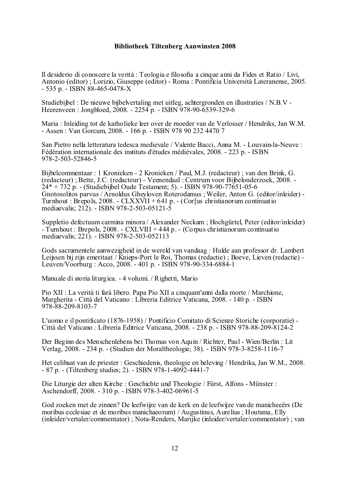Il desiderio di conoscere la verità : Teologia e filosofia a cinque anni da Fides et Ratio / Livi, Antonio (editor) ; Lorizio, Giuseppe (editor) - Roma : Pontificia Università Lateranense, 2005. - 535 p. - ISBN 88-465-0478-X

Studiebijbel : De nieuwe bijbelvertaling met uitleg, achtergronden en illustraties / N.B.V - Heerenveen : Jongbloed, 2008. - 2254 p. - ISBN 978-90-6539-329-6

Maria : Inleiding tot de katholieke leer over de moeder van de Verlosser / Hendriks, Jan W.M. - Assen : Van Gorcum, 2008. - 166 p. - ISBN 978 90 232 4470 7

San Pietro nella letteratura tedesca medievale / Valente Bacci, Anna M. - Louvain-la-Neuve : Fédération internationale des instituts d'études médiévales, 2008. - 223 p. - ISBN 978-2-503-52846-5

Bijbelcommentaar : 1 Kronieken - 2 Kronieken / Paul, M.J. (redacteur) ; van den Brink, G. (redacteur) ; Bette, J.C. (redacteur) - Veenendaal : Centrum voor Bijbelonderzoek, 2008. - 24\* + 732 p. - (Studiebijbel Oude Testament; 5). - ISBN 978-90-77651-05-6 Gnotosolitos parvus / Arnoldus Gheyloven Roterodamus ; Weiler, Anton G. (editor/inleider) - Turnhout : Brepols, 2008. - CLXXVII + 641 p. - (Cor[us christianorum continuatio mediaevalis; 212). - ISBN 978-2-503-05121-5

Suppletio defectuum carmina minora / Alexander Neckam ; Hochgürtel, Peter (editor/inleider) - Turnhout : Brepols, 2008. - CXLVIII + 444 p. - (Corpus christianorum continuatio mediaevalis; 221). - ISBN 978-2-503-052113

Gods sacramentele aanwezigheid in de wereld van vandaag : Hulde aan professor dr. Lambert Leijssen bij zijn emeritaat / Knieps-Port le Roi, Thomas (redactie) ; Boeve, Lieven (redactie) - Leuven/Voorburg : Acco, 2008. - 401 p. - ISBN 978-90-334-6884-1

Manuale di storia liturgica. - 4 volumi. / Righetti, Mario

Pio XII : La verità ti farà libero. Papa Pio XII a cinquant'anni dalla morte / Marchione, Margherita - Città del Vaticano : Libreria Editrice Vaticana, 2008. - 140 p. - ISBN 978-88-209-8103-7

L'uomo e il pontificato (1876-1958) / Pontificio Comitato di Scienze Storiche (corporatie) -Città del Vaticano : Libreria Editrice Vaticana, 2008. - 238 p. - ISBN 978-88-209-8124-2

Der Beginn des Menschenlebens bei Thomas von Aquin / Richter, Paul - Wien/Berlin : Lit Verlag, 2008. - 234 p. - (Studien der Moraltheologie; 38). - ISBN 978-3-8258-1116-7

Het celibaat van de priester : Geschiedenis, theologie en beleving / Hendriks, Jan W.M., 2008. - 87 p. - (Tiltenberg studies; 2). - ISBN 978-1-4092-4441-7

Die Liturgie der alten Kirche : Geschichte und Theologie / Fürst, Alfons - Münster : Aschendorff, 2008. - 310 p. - ISBN 978-3-402-06961-5

God zoeken met de zinnen? De leefwijze van de kerk en de leefwijze van de manicheeërs (De moribus ecclesiae et de moribus manichaeorum) / Augustinus, Aurelius ; Houtsma, Elly (inleider/vertaler/commentator) ; Nota-Renders, Marijke (inleider/vertaler/commentator) ; van